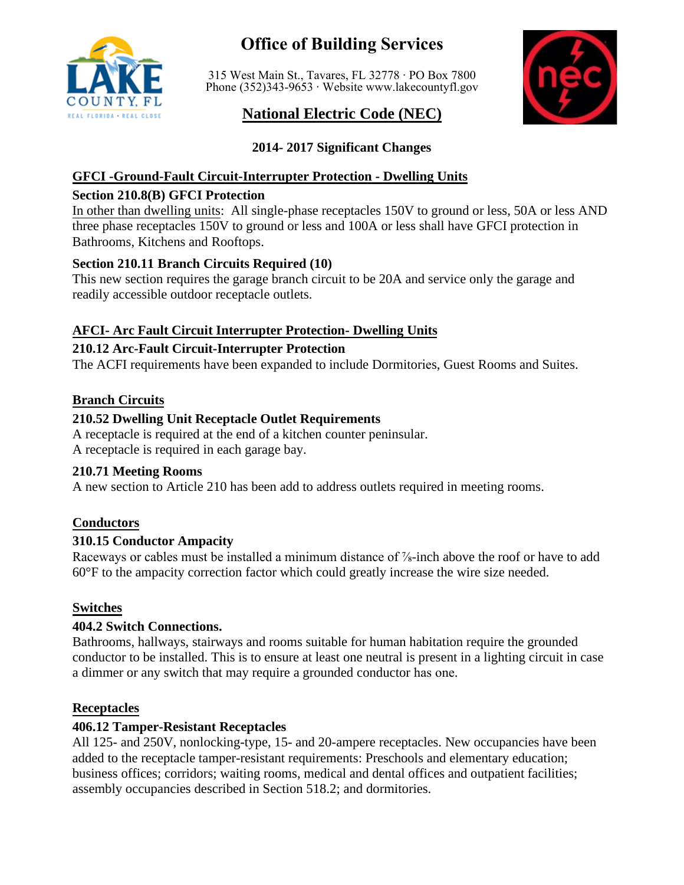

# **Office of Building Services**

315 West Main St., Tavares, FL 32778 ∙ PO Box 7800 Phone (352)343-9653 ∙ Website<www.lakecountyfl.gov>

# **National Electric Code (NEC)**



# **2014- 2017 Significant Changes**

# **GFCI -Ground-Fault Circuit-Interrupter Protection - Dwelling Units**

# **Section 210.8(B) GFCI Protection**

In other than dwelling units: All single-phase receptacles 150V to ground or less, 50A or less AND three phase receptacles 150V to ground or less and 100A or less shall have GFCI protection in Bathrooms, Kitchens and Rooftops.

# **Section 210.11 Branch Circuits Required (10)**

This new section requires the garage branch circuit to be 20A and service only the garage and readily accessible outdoor receptacle outlets.

# **AFCI- Arc Fault Circuit Interrupter Protection- Dwelling Units**

### **210.12 Arc-Fault Circuit-Interrupter Protection**

The ACFI requirements have been expanded to include Dormitories, Guest Rooms and Suites.

# **Branch Circuits**

# **210.52 Dwelling Unit Receptacle Outlet Requirements**

A receptacle is required at the end of a kitchen counter peninsular. A receptacle is required in each garage bay.

# **210.71 Meeting Rooms**

A new section to Article 210 has been add to address outlets required in meeting rooms.

# **Conductors**

# **310.15 Conductor Ampacity**

Raceways or cables must be installed a minimum distance of <sup>7</sup><sub>8</sub>-inch above the roof or have to add 60°F to the ampacity correction factor which could greatly increase the wire size needed.

# **Switches**

# **404.2 Switch Connections.**

Bathrooms, hallways, stairways and rooms suitable for human habitation require the grounded conductor to be installed. This is to ensure at least one neutral is present in a lighting circuit in case a dimmer or any switch that may require a grounded conductor has one.

# **Receptacles**

# **406.12 Tamper-Resistant Receptacles**

All 125- and 250V, nonlocking-type, 15- and 20-ampere receptacles. New occupancies have been added to the receptacle tamper-resistant requirements: Preschools and elementary education; business offices; corridors; waiting rooms, medical and dental offices and outpatient facilities; assembly occupancies described in Section 518.2; and dormitories.